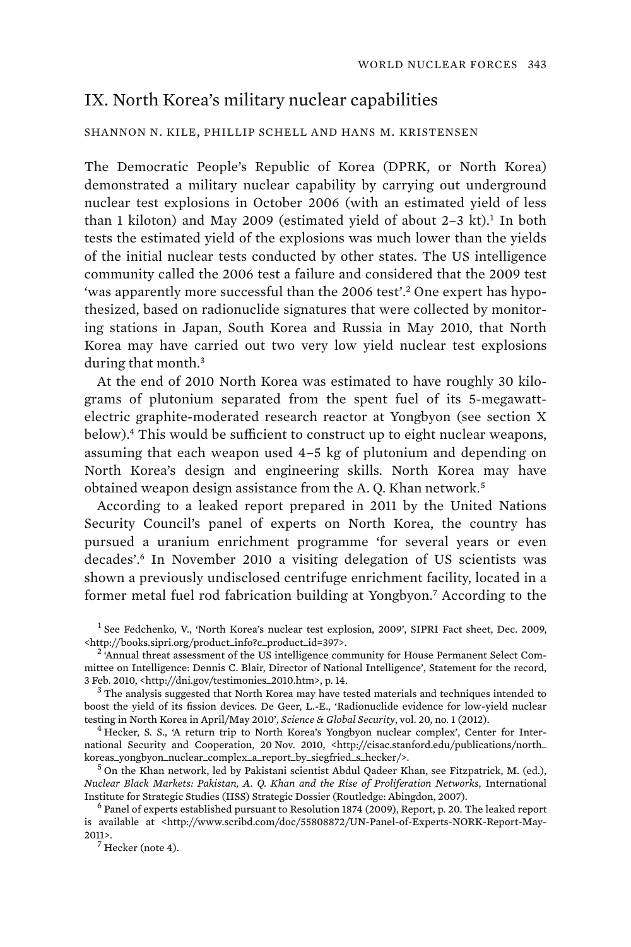## IX. North Korea's military nuclear capabilities

## SHANNON N. KILE, PHILLIP SCHELL AND HANS M. KRISTENSEN

The Democratic People's Republic of Korea (DPRK, or North Korea) demonstrated a military nuclear capability by carrying out underground nuclear test explosions in October 2006 (with an estimated yield of less than 1 kiloton) and May 2009 (estimated yield of about  $2-3$  kt).<sup>1</sup> In both tests the estimated yield of the explosions was much lower than the yields of the initial nuclear tests conducted by other states. The US intelligence community called the 2006 test a failure and considered that the 2009 test 'was apparently more successful than the 2006 test'.<sup>2</sup> One expert has hypothesized, based on radionuclide signatures that were collected by monitoring stations in Japan, South Korea and Russia in May 2010, that North Korea may have carried out two very low yield nuclear test explosions during that month.<sup>3</sup>

At the end of 2010 North Korea was estimated to have roughly 30 kilograms of plutonium separated from the spent fuel of its 5-megawattelectric graphite-moderated research reactor at Yongbyon (see section X below).<sup>4</sup> This would be sufficient to construct up to eight nuclear weapons, assuming that each weapon used 4–5 kg of plutonium and depending on North Korea's design and engineering skills. North Korea may have obtained weapon design assistance from the A.Q. Khan network.<sup>5</sup>

According to a leaked report prepared in 2011 by the United Nations Security Council's panel of experts on North Korea, the country has pursued a uranium enrichment programme 'for several years or even decades'.<sup>6</sup> In November 2010 a visiting delegation of US scientists was shown a previously undisclosed centrifuge enrichment facility, located in a former metal fuel rod fabrication building at Yongbyon.<sup>7</sup> According to the

<sup>&</sup>lt;sup>1</sup> See Fedchenko, V., 'North Korea's nuclear test explosion, 2009', SIPRI Fact sheet, Dec. 2009, <http://books.sipri.org/product\_info?c\_product\_id=397>. <sup>2</sup>

<sup>&</sup>lt;sup>2</sup>'Annual threat assessment of the US intelligence community for House Permanent Select Committee on Intelligence: Dennis C. Blair, Director of National Intelligence', Statement for the record, 3 Feb. 2010, <http://dni.gov/testimonies\_2010.htm>, p. 14. <sup>3</sup>

 $3$  The analysis suggested that North Korea may have tested materials and techniques intended to boost the yield of its fission devices. De Geer, L.-E., 'Radionuclide evidence for low-yield nuclear testing in North Korea in April/May 2010', *Science & Global Security*, vol. 20, no. 1 (2012). <sup>4</sup>

 $<sup>4</sup>$  Hecker, S. S., 'A return trip to North Korea's Yongbyon nuclear complex', Center for Inter-</sup> national Security and Cooperation, 20 Nov. 2010, <http://cisac.stanford.edu/publications/north\_ koreas\_yongbyon\_nuclear\_complex\_a\_report\_by\_siegfried\_s\_hecker/>. <sup>5</sup>

 $<sup>5</sup>$  On the Khan network, led by Pakistani scientist Abdul Qadeer Khan, see Fitzpatrick, M. (ed.),</sup> *Nuclear Black Markets: Pakistan, A. Q. Khan and the Rise of Proliferation Networks*, International Institute for Strategic Studies (IISS) Strategic Dossier (Routledge: Abingdon, 2007). <sup>6</sup>

 $6$  Panel of experts established pursuant to Resolution 1874 (2009), Report, p. 20. The leaked report is available at <http://www.scribd.com/doc/55808872/UN-Panel-of-Experts-NORK-Report-May- $2011$  $>$ .

 $7$  Hecker (note 4).